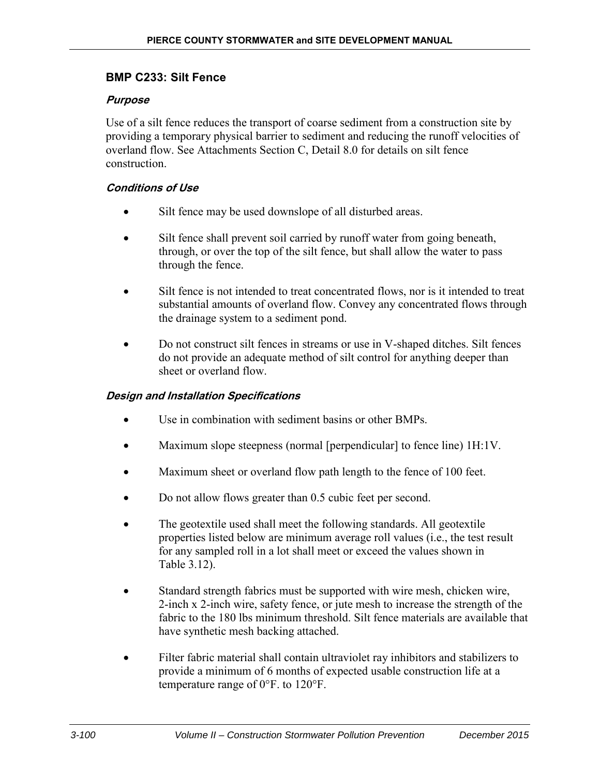# **BMP C233: Silt Fence**

### **Purpose**

Use of a silt fence reduces the transport of coarse sediment from a construction site by providing a temporary physical barrier to sediment and reducing the runoff velocities of overland flow. See Attachments Section C, Detail 8.0 for details on silt fence construction.

### **Conditions of Use**

- Silt fence may be used downslope of all disturbed areas.
- Silt fence shall prevent soil carried by runoff water from going beneath, through, or over the top of the silt fence, but shall allow the water to pass through the fence.
- Silt fence is not intended to treat concentrated flows, nor is it intended to treat substantial amounts of overland flow. Convey any concentrated flows through the drainage system to a sediment pond.
- Do not construct silt fences in streams or use in V-shaped ditches. Silt fences do not provide an adequate method of silt control for anything deeper than sheet or overland flow.

## **Design and Installation Specifications**

- Use in combination with sediment basins or other BMPs
- Maximum slope steepness (normal [perpendicular] to fence line) 1H:1V.
- Maximum sheet or overland flow path length to the fence of 100 feet.
- Do not allow flows greater than 0.5 cubic feet per second.
- The geotextile used shall meet the following standards. All geotextile properties listed below are minimum average roll values (i.e., the test result for any sampled roll in a lot shall meet or exceed the values shown in Table 3.12).
- Standard strength fabrics must be supported with wire mesh, chicken wire, 2-inch x 2-inch wire, safety fence, or jute mesh to increase the strength of the fabric to the 180 lbs minimum threshold. Silt fence materials are available that have synthetic mesh backing attached.
- Filter fabric material shall contain ultraviolet ray inhibitors and stabilizers to provide a minimum of 6 months of expected usable construction life at a temperature range of 0°F. to 120°F.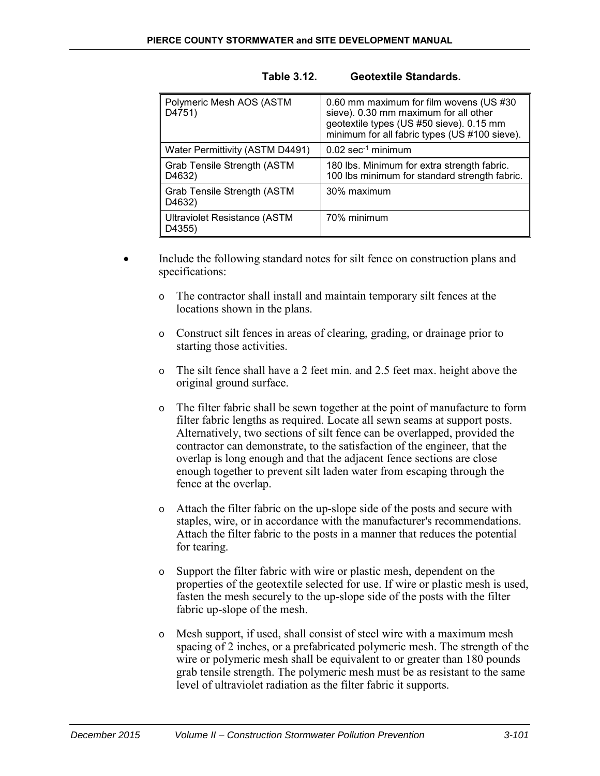| Polymeric Mesh AOS (ASTM<br>D4751)            | 0.60 mm maximum for film wovens (US #30<br>sieve). 0.30 mm maximum for all other<br>geotextile types (US #50 sieve). 0.15 mm<br>minimum for all fabric types (US #100 sieve). |
|-----------------------------------------------|-------------------------------------------------------------------------------------------------------------------------------------------------------------------------------|
| Water Permittivity (ASTM D4491)               | $0.02$ sec <sup>-1</sup> minimum                                                                                                                                              |
| Grab Tensile Strength (ASTM<br>D4632)         | 180 lbs. Minimum for extra strength fabric.<br>100 lbs minimum for standard strength fabric.                                                                                  |
| <b>Grab Tensile Strength (ASTM</b><br>D4632)  | 30% maximum                                                                                                                                                                   |
| <b>Ultraviolet Resistance (ASTM</b><br>D4355) | 70% minimum                                                                                                                                                                   |

#### **Table 3.12. Geotextile Standards.**

- Include the following standard notes for silt fence on construction plans and specifications:
	- o The contractor shall install and maintain temporary silt fences at the locations shown in the plans.
	- o Construct silt fences in areas of clearing, grading, or drainage prior to starting those activities.
	- o The silt fence shall have a 2 feet min. and 2.5 feet max. height above the original ground surface.
	- o The filter fabric shall be sewn together at the point of manufacture to form filter fabric lengths as required. Locate all sewn seams at support posts. Alternatively, two sections of silt fence can be overlapped, provided the contractor can demonstrate, to the satisfaction of the engineer, that the overlap is long enough and that the adjacent fence sections are close enough together to prevent silt laden water from escaping through the fence at the overlap.
	- o Attach the filter fabric on the up-slope side of the posts and secure with staples, wire, or in accordance with the manufacturer's recommendations. Attach the filter fabric to the posts in a manner that reduces the potential for tearing.
	- o Support the filter fabric with wire or plastic mesh, dependent on the properties of the geotextile selected for use. If wire or plastic mesh is used, fasten the mesh securely to the up-slope side of the posts with the filter fabric up-slope of the mesh.
	- o Mesh support, if used, shall consist of steel wire with a maximum mesh spacing of 2 inches, or a prefabricated polymeric mesh. The strength of the wire or polymeric mesh shall be equivalent to or greater than 180 pounds grab tensile strength. The polymeric mesh must be as resistant to the same level of ultraviolet radiation as the filter fabric it supports.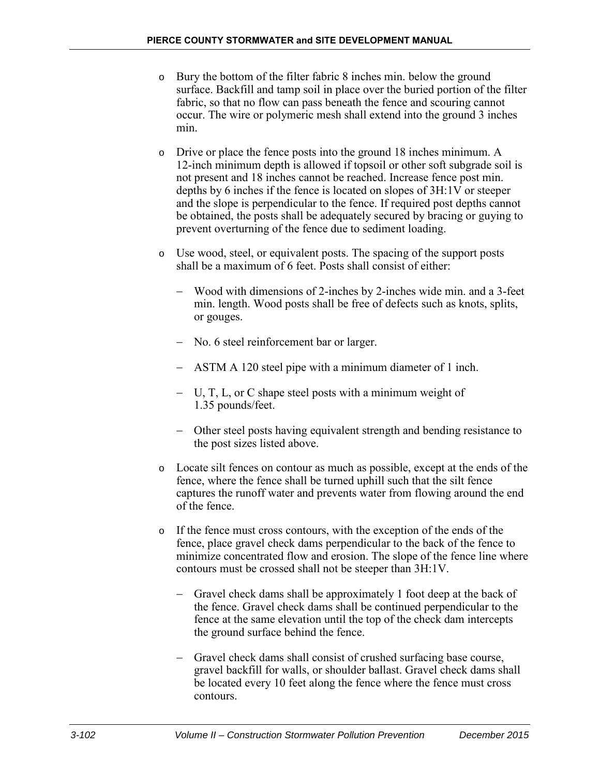- o Bury the bottom of the filter fabric 8 inches min. below the ground surface. Backfill and tamp soil in place over the buried portion of the filter fabric, so that no flow can pass beneath the fence and scouring cannot occur. The wire or polymeric mesh shall extend into the ground 3 inches min.
- Drive or place the fence posts into the ground 18 inches minimum. A 12-inch minimum depth is allowed if topsoil or other soft subgrade soil is not present and 18 inches cannot be reached. Increase fence post min. depths by 6 inches if the fence is located on slopes of 3H:1V or steeper and the slope is perpendicular to the fence. If required post depths cannot be obtained, the posts shall be adequately secured by bracing or guying to prevent overturning of the fence due to sediment loading.
- o Use wood, steel, or equivalent posts. The spacing of the support posts shall be a maximum of 6 feet. Posts shall consist of either:
	- − Wood with dimensions of 2-inches by 2-inches wide min. and a 3-feet min. length. Wood posts shall be free of defects such as knots, splits, or gouges.
	- − No. 6 steel reinforcement bar or larger.
	- − ASTM A 120 steel pipe with a minimum diameter of 1 inch.
	- − U, T, L, or C shape steel posts with a minimum weight of 1.35 pounds/feet.
	- − Other steel posts having equivalent strength and bending resistance to the post sizes listed above.
- o Locate silt fences on contour as much as possible, except at the ends of the fence, where the fence shall be turned uphill such that the silt fence captures the runoff water and prevents water from flowing around the end of the fence.
- o If the fence must cross contours, with the exception of the ends of the fence, place gravel check dams perpendicular to the back of the fence to minimize concentrated flow and erosion. The slope of the fence line where contours must be crossed shall not be steeper than 3H:1V.
	- − Gravel check dams shall be approximately 1 foot deep at the back of the fence. Gravel check dams shall be continued perpendicular to the fence at the same elevation until the top of the check dam intercepts the ground surface behind the fence.
	- − Gravel check dams shall consist of crushed surfacing base course, gravel backfill for walls, or shoulder ballast. Gravel check dams shall be located every 10 feet along the fence where the fence must cross contours.